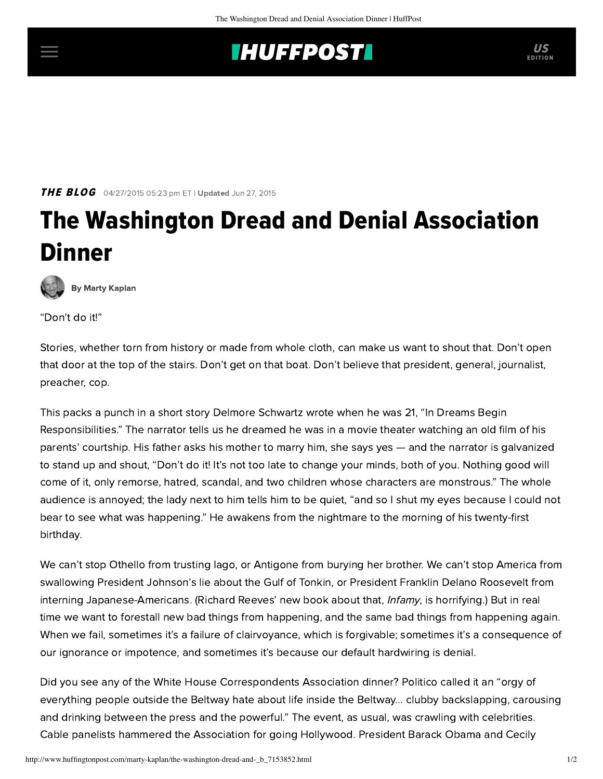## **THUFFPOSTI** US

THE BLOG 04/27/2015 05:23 pm ET | Updated Jun 27, 2015

# The Washington Dread and Denial Association Dinner

[By Marty Kaplan](http://www.huffingtonpost.com/author/marty-kaplan)

"Don't do it!"

Stories, whether torn from history or made from whole cloth, can make us want to shout that. Don't open that door at the top of the stairs. Don't get on that boat. Don't believe that president, general, journalist, preacher, cop.

This packs a punch in a short story Delmore Schwartz wrote when he was 21, "In Dreams Begin Responsibilities." The narrator tells us he dreamed he was in a movie theater watching an old film of his parents' courtship. His father asks his mother to marry him, she says yes — and the narrator is galvanized to stand up and shout, "Don't do it! It's not too late to change your minds, both of you. Nothing good will come of it, only remorse, hatred, scandal, and two children whose characters are monstrous." The whole audience is annoyed; the lady next to him tells him to be quiet, "and so I shut my eyes because I could not bear to see what was happening." He awakens from the nightmare to the morning of his twenty-first birthday.

We can't stop Othello from trusting Iago, or Antigone from burying her brother. We can't stop America from swallowing President Johnson's lie about the Gulf of Tonkin, or President Franklin Delano Roosevelt from interning Japanese-Americans. (Richard Reeves' new book about that, *Infamy*, is horrifying.) But in real time we want to forestall new bad things from happening, and the same bad things from happening again. When we fail, sometimes it's a failure of clairvoyance, which is forgivable; sometimes it's a consequence of our ignorance or impotence, and sometimes it's because our default hardwiring is denial.

Did you see any of the White House Correspondents Association dinner? [Politico](http://www.politico.com/magazine/story/2015/04/white-house-correspondents-dinner-117287.html#ixzz3YM7IHYoZ) called it an "orgy of everything people outside the Beltway hate about life inside the Beltway... clubby backslapping, carousing and drinking between the press and the powerful." The event, as usual, was crawling with celebrities. Cable panelists hammered the Association for going Hollywood. President Barack Obama and Cecily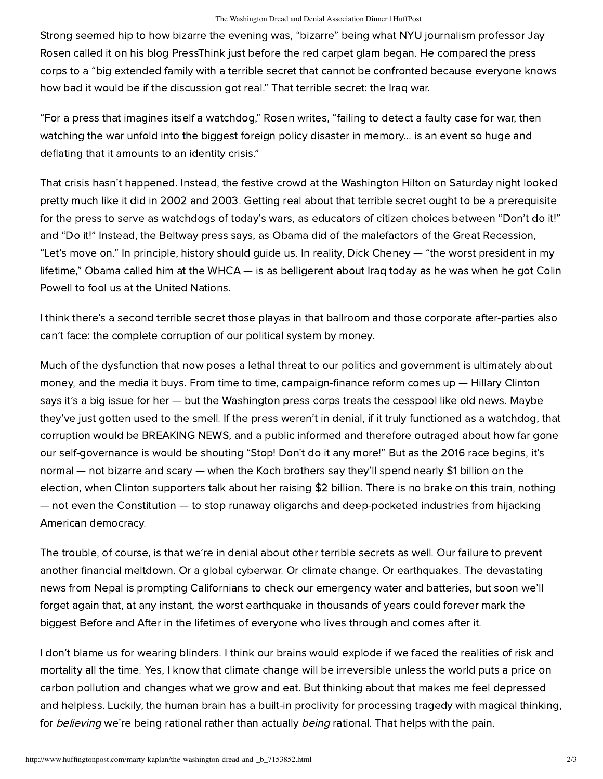#### The Washington Dread and Denial Association Dinner | HuffPost

Strong seemed hip to how bizarre the evening was, "bizarre" being what NYU journalism professor Jay Rosen [called it](http://pressthink.org/2015/04/on-the-deep-grammar-of-the-white-house-correspondents-association-dinner/) on his blog PressThink just before the red carpet glam began. He compared the press corps to a "big extended family with a terrible secret that cannot be confronted because everyone knows how bad it would be if the discussion got real." That terrible secret: the Iraq war.

"For a press that imagines itself a watchdog," Rosen writes, "failing to detect a faulty case for war, then watching the war unfold into the biggest foreign policy disaster in memory... is an event so huge and deflating that it amounts to an identity crisis."

That crisis hasn't happened. Instead, the festive crowd at the Washington Hilton on Saturday night looked pretty much like it did in 2002 and 2003. Getting real about that terrible secret ought to be a prerequisite for the press to serve as watchdogs of today's wars, as educators of citizen choices between "Don't do it!" and "Do it!" Instead, the Beltway press says, as Obama did of the malefactors of the Great Recession, "Let's move on." In principle, history should guide us. In reality, Dick Cheney — "the worst president in my lifetime," Obama called him at the WHCA — is as belligerent about Iraq today as he was when he got Colin Powell to fool us at the United Nations.

I think there's a second terrible secret those playas in that ballroom and those corporate after-parties also can't face: the complete corruption of our political system by money.

Much of the dysfunction that now poses a lethal threat to our politics and government is ultimately about money, and the media it buys. From time to time, campaign-finance reform comes up — Hillary Clinton says it's a big issue for her — but the Washington press corps treats the cesspool like old news. Maybe they've just gotten used to the smell. If the press weren't in denial, if it truly functioned as a watchdog, that corruption would be BREAKING NEWS, and a public informed and therefore outraged about how far gone our self-governance is would be shouting "Stop! Don't do it any more!" But as the 2016 race begins, it's normal — not bizarre and scary — when the Koch brothers say they'll spend nearly \$1 billion on the election, when Clinton supporters talk about her raising \$2 billion. There is no brake on this train, nothing — not even the Constitution — to stop runaway oligarchs and deep-pocketed industries from hijacking American democracy.

The trouble, of course, is that we're in denial about other terrible secrets as well. Our failure to prevent another financial meltdown. Or a global cyberwar. Or climate change. Or earthquakes. The devastating news from Nepal is prompting Californians to check our emergency water and batteries, but soon we'll forget again that, at any instant, the worst earthquake in thousands of years could forever mark the biggest Before and After in the lifetimes of everyone who lives through and comes after it.

I don't blame us for wearing blinders. I think our brains would explode if we faced the realities of risk and mortality all the time. Yes, I know that climate change will be irreversible unless the world puts a price on carbon pollution and changes what we grow and eat. But thinking about that makes me feel depressed and helpless. Luckily, the human brain has a built-in proclivity for processing tragedy with magical thinking, for believing we're being rational rather than actually being rational. That helps with the pain.